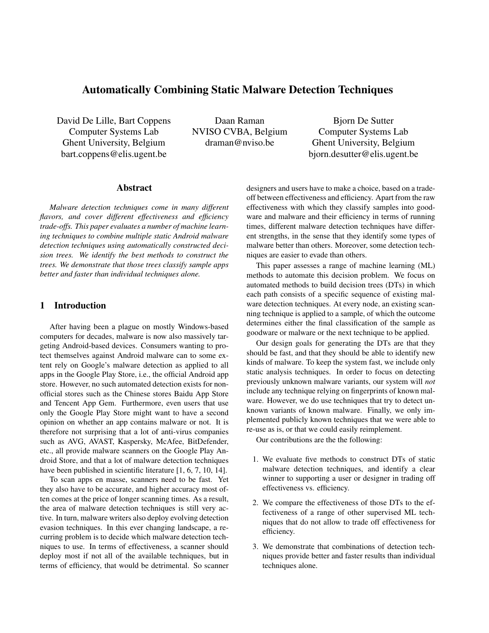# Automatically Combining Static Malware Detection Techniques

David De Lille, Bart Coppens Computer Systems Lab Ghent University, Belgium bart.coppens@elis.ugent.be

Daan Raman NVISO CVBA, Belgium draman@nviso.be

Bjorn De Sutter Computer Systems Lab Ghent University, Belgium bjorn.desutter@elis.ugent.be

### Abstract

*Malware detection techniques come in many different flavors, and cover different effectiveness and efficiency trade-offs. This paper evaluates a number of machine learning techniques to combine multiple static Android malware detection techniques using automatically constructed decision trees. We identify the best methods to construct the trees. We demonstrate that those trees classify sample apps better and faster than individual techniques alone.*

# 1 Introduction

After having been a plague on mostly Windows-based computers for decades, malware is now also massively targeting Android-based devices. Consumers wanting to protect themselves against Android malware can to some extent rely on Google's malware detection as applied to all apps in the Google Play Store, i.e., the official Android app store. However, no such automated detection exists for nonofficial stores such as the Chinese stores Baidu App Store and Tencent App Gem. Furthermore, even users that use only the Google Play Store might want to have a second opinion on whether an app contains malware or not. It is therefore not surprising that a lot of anti-virus companies such as AVG, AVAST, Kaspersky, McAfee, BitDefender, etc., all provide malware scanners on the Google Play Android Store, and that a lot of malware detection techniques have been published in scientific literature [1, 6, 7, 10, 14].

To scan apps en masse, scanners need to be fast. Yet they also have to be accurate, and higher accuracy most often comes at the price of longer scanning times. As a result, the area of malware detection techniques is still very active. In turn, malware writers also deploy evolving detection evasion techniques. In this ever changing landscape, a recurring problem is to decide which malware detection techniques to use. In terms of effectiveness, a scanner should deploy most if not all of the available techniques, but in terms of efficiency, that would be detrimental. So scanner

designers and users have to make a choice, based on a tradeoff between effectiveness and efficiency. Apart from the raw effectiveness with which they classify samples into goodware and malware and their efficiency in terms of running times, different malware detection techniques have different strengths, in the sense that they identify some types of malware better than others. Moreover, some detection techniques are easier to evade than others.

This paper assesses a range of machine learning (ML) methods to automate this decision problem. We focus on automated methods to build decision trees (DTs) in which each path consists of a specific sequence of existing malware detection techniques. At every node, an existing scanning technique is applied to a sample, of which the outcome determines either the final classification of the sample as goodware or malware or the next technique to be applied.

Our design goals for generating the DTs are that they should be fast, and that they should be able to identify new kinds of malware. To keep the system fast, we include only static analysis techniques. In order to focus on detecting previously unknown malware variants, our system will *not* include any technique relying on fingerprints of known malware. However, we do use techniques that try to detect unknown variants of known malware. Finally, we only implemented publicly known techniques that we were able to re-use as is, or that we could easily reimplement.

Our contributions are the the following:

- 1. We evaluate five methods to construct DTs of static malware detection techniques, and identify a clear winner to supporting a user or designer in trading off effectiveness vs. efficiency.
- 2. We compare the effectiveness of those DTs to the effectiveness of a range of other supervised ML techniques that do not allow to trade off effectiveness for efficiency.
- 3. We demonstrate that combinations of detection techniques provide better and faster results than individual techniques alone.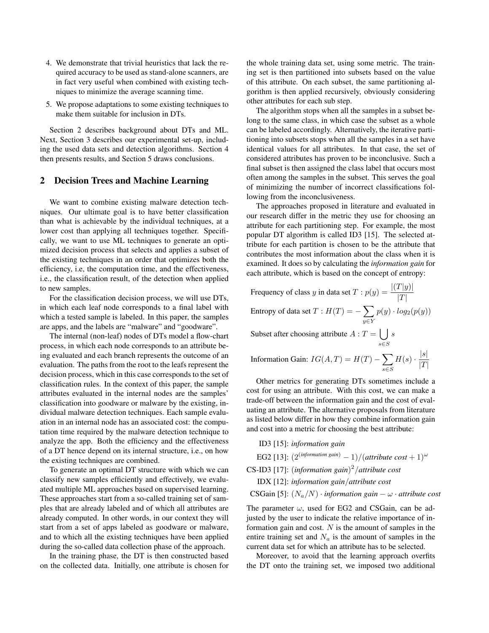- 4. We demonstrate that trivial heuristics that lack the required accuracy to be used as stand-alone scanners, are in fact very useful when combined with existing techniques to minimize the average scanning time.
- 5. We propose adaptations to some existing techniques to make them suitable for inclusion in DTs.

Section 2 describes background about DTs and ML. Next, Section 3 describes our experimental set-up, including the used data sets and detection algorithms. Section 4 then presents results, and Section 5 draws conclusions.

### 2 Decision Trees and Machine Learning

We want to combine existing malware detection techniques. Our ultimate goal is to have better classification than what is achievable by the individual techniques, at a lower cost than applying all techniques together. Specifically, we want to use ML techniques to generate an optimized decision process that selects and applies a subset of the existing techniques in an order that optimizes both the efficiency, i.e, the computation time, and the effectiveness, i.e., the classification result, of the detection when applied to new samples.

For the classification decision process, we will use DTs, in which each leaf node corresponds to a final label with which a tested sample is labeled. In this paper, the samples are apps, and the labels are "malware" and "goodware".

The internal (non-leaf) nodes of DTs model a flow-chart process, in which each node corresponds to an attribute being evaluated and each branch represents the outcome of an evaluation. The paths from the root to the leafs represent the decision process, which in this case corresponds to the set of classification rules. In the context of this paper, the sample attributes evaluated in the internal nodes are the samples' classification into goodware or malware by the existing, individual malware detection techniques. Each sample evaluation in an internal node has an associated cost: the computation time required by the malware detection technique to analyze the app. Both the efficiency and the effectiveness of a DT hence depend on its internal structure, i.e., on how the existing techniques are combined.

To generate an optimal DT structure with which we can classify new samples efficiently and effectively, we evaluated multiple ML approaches based on supervised learning. These approaches start from a so-called training set of samples that are already labeled and of which all attributes are already computed. In other words, in our context they will start from a set of apps labeled as goodware or malware, and to which all the existing techniques have been applied during the so-called data collection phase of the approach.

In the training phase, the DT is then constructed based on the collected data. Initially, one attribute is chosen for the whole training data set, using some metric. The training set is then partitioned into subsets based on the value of this attribute. On each subset, the same partitioning algorithm is then applied recursively, obviously considering other attributes for each sub step.

The algorithm stops when all the samples in a subset belong to the same class, in which case the subset as a whole can be labeled accordingly. Alternatively, the iterative partitioning into subsets stops when all the samples in a set have identical values for all attributes. In that case, the set of considered attributes has proven to be inconclusive. Such a final subset is then assigned the class label that occurs most often among the samples in the subset. This serves the goal of minimizing the number of incorrect classifications following from the inconclusiveness.

The approaches proposed in literature and evaluated in our research differ in the metric they use for choosing an attribute for each partitioning step. For example, the most popular DT algorithm is called ID3 [15]. The selected attribute for each partition is chosen to be the attribute that contributes the most information about the class when it is examined. It does so by calculating the *information gain* for each attribute, which is based on the concept of entropy:

Frequency of class y in data set 
$$
T : p(y) = \frac{|(T|y)|}{|T|}
$$

Entropy of data set  $T : H(T) = -\sum$ y∈Y  $p(y) \cdot log_2(p(y))$ 

Subset after choosing attribute  $A: T = [$ 

Information Gain: 
$$
IG(A, T) = H(T) - \sum_{s \in S} H(s) \cdot \frac{|s|}{|T|}
$$

s∈S s

Other metrics for generating DTs sometimes include a cost for using an attribute. With this cost, we can make a trade-off between the information gain and the cost of evaluating an attribute. The alternative proposals from literature as listed below differ in how they combine information gain and cost into a metric for choosing the best attribute:

ID3 [15]: *information gain*

EG2 [13]:  $\left(2^{(information gain)} - 1\right) / (attribute cost + 1)^{\omega}$ 

CS-ID3 [17]: (*information gain*) 2 /*attribute cost*

IDX [12]: *information gain*/*attribute cost*

CSGain [5]:  $(N_a/N) \cdot$  *information gain*  $-\omega \cdot$  *attribute cost* 

The parameter  $\omega$ , used for EG2 and CSGain, can be adjusted by the user to indicate the relative importance of information gain and cost.  $N$  is the amount of samples in the entire training set and  $N_a$  is the amount of samples in the current data set for which an attribute has to be selected.

Moreover, to avoid that the learning approach overfits the DT onto the training set, we imposed two additional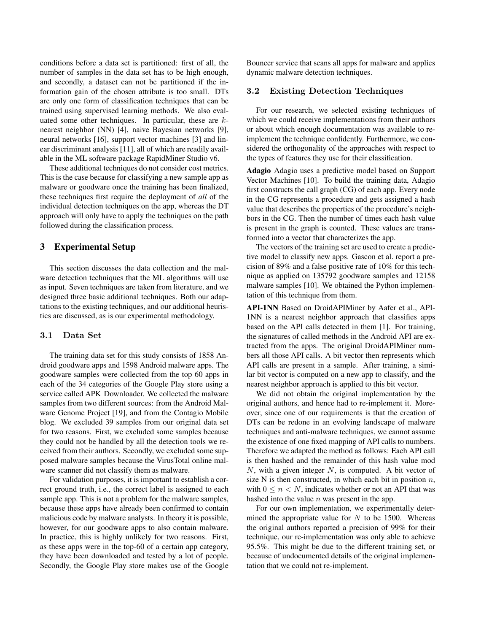conditions before a data set is partitioned: first of all, the number of samples in the data set has to be high enough, and secondly, a dataset can not be partitioned if the information gain of the chosen attribute is too small. DTs are only one form of classification techniques that can be trained using supervised learning methods. We also evaluated some other techniques. In particular, these are  $k$ nearest neighbor (NN) [4], naive Bayesian networks [9], neural networks [16], support vector machines [3] and linear discriminant analysis [11], all of which are readily available in the ML software package RapidMiner Studio v6.

These additional techniques do not consider cost metrics. This is the case because for classifying a new sample app as malware or goodware once the training has been finalized, these techniques first require the deployment of *all* of the individual detection techniques on the app, whereas the DT approach will only have to apply the techniques on the path followed during the classification process.

### 3 Experimental Setup

This section discusses the data collection and the malware detection techniques that the ML algorithms will use as input. Seven techniques are taken from literature, and we designed three basic additional techniques. Both our adaptations to the existing techniques, and our additional heuristics are discussed, as is our experimental methodology.

#### 3.1 Data Set

The training data set for this study consists of 1858 Android goodware apps and 1598 Android malware apps. The goodware samples were collected from the top 60 apps in each of the 34 categories of the Google Play store using a service called APK Downloader. We collected the malware samples from two different sources: from the Android Malware Genome Project [19], and from the Contagio Mobile blog. We excluded 39 samples from our original data set for two reasons. First, we excluded some samples because they could not be handled by all the detection tools we received from their authors. Secondly, we excluded some supposed malware samples because the VirusTotal online malware scanner did not classify them as malware.

For validation purposes, it is important to establish a correct ground truth, i.e., the correct label is assigned to each sample app. This is not a problem for the malware samples, because these apps have already been confirmed to contain malicious code by malware analysts. In theory it is possible, however, for our goodware apps to also contain malware. In practice, this is highly unlikely for two reasons. First, as these apps were in the top-60 of a certain app category, they have been downloaded and tested by a lot of people. Secondly, the Google Play store makes use of the Google Bouncer service that scans all apps for malware and applies dynamic malware detection techniques.

### 3.2 Existing Detection Techniques

For our research, we selected existing techniques of which we could receive implementations from their authors or about which enough documentation was available to reimplement the technique confidently. Furthermore, we considered the orthogonality of the approaches with respect to the types of features they use for their classification.

Adagio Adagio uses a predictive model based on Support Vector Machines [10]. To build the training data, Adagio first constructs the call graph (CG) of each app. Every node in the CG represents a procedure and gets assigned a hash value that describes the properties of the procedure's neighbors in the CG. Then the number of times each hash value is present in the graph is counted. These values are transformed into a vector that characterizes the app.

The vectors of the training set are used to create a predictive model to classify new apps. Gascon et al. report a precision of 89% and a false positive rate of 10% for this technique as applied on 135792 goodware samples and 12158 malware samples [10]. We obtained the Python implementation of this technique from them.

API-1NN Based on DroidAPIMiner by Aafer et al., API-1NN is a nearest neighbor approach that classifies apps based on the API calls detected in them [1]. For training, the signatures of called methods in the Android API are extracted from the apps. The original DroidAPIMiner numbers all those API calls. A bit vector then represents which API calls are present in a sample. After training, a similar bit vector is computed on a new app to classify, and the nearest neighbor approach is applied to this bit vector.

We did not obtain the original implementation by the original authors, and hence had to re-implement it. Moreover, since one of our requirements is that the creation of DTs can be redone in an evolving landscape of malware techniques and anti-malware techniques, we cannot assume the existence of one fixed mapping of API calls to numbers. Therefore we adapted the method as follows: Each API call is then hashed and the remainder of this hash value mod  $N$ , with a given integer  $N$ , is computed. A bit vector of size N is then constructed, in which each bit in position  $n$ , with  $0 \le n \le N$ , indicates whether or not an API that was hashed into the value  $n$  was present in the app.

For our own implementation, we experimentally determined the appropriate value for  $N$  to be 1500. Whereas the original authors reported a precision of 99% for their technique, our re-implementation was only able to achieve 95.5%. This might be due to the different training set, or because of undocumented details of the original implementation that we could not re-implement.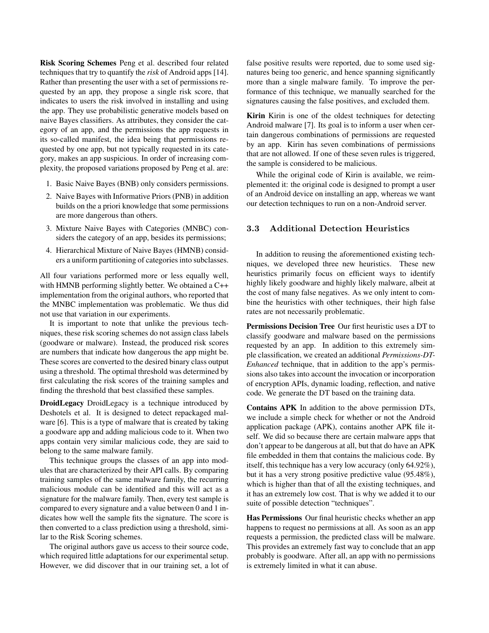Risk Scoring Schemes Peng et al. described four related techniques that try to quantify the *risk* of Android apps [14]. Rather than presenting the user with a set of permissions requested by an app, they propose a single risk score, that indicates to users the risk involved in installing and using the app. They use probabilistic generative models based on naive Bayes classifiers. As attributes, they consider the category of an app, and the permissions the app requests in its so-called manifest, the idea being that permissions requested by one app, but not typically requested in its category, makes an app suspicious. In order of increasing complexity, the proposed variations proposed by Peng et al. are:

- 1. Basic Naive Bayes (BNB) only considers permissions.
- 2. Naive Bayes with Informative Priors (PNB) in addition builds on the a priori knowledge that some permissions are more dangerous than others.
- 3. Mixture Naive Bayes with Categories (MNBC) considers the category of an app, besides its permissions;
- 4. Hierarchical Mixture of Naive Bayes (HMNB) considers a uniform partitioning of categories into subclasses.

All four variations performed more or less equally well, with HMNB performing slightly better. We obtained a C++ implementation from the original authors, who reported that the MNBC implementation was problematic. We thus did not use that variation in our experiments.

It is important to note that unlike the previous techniques, these risk scoring schemes do not assign class labels (goodware or malware). Instead, the produced risk scores are numbers that indicate how dangerous the app might be. These scores are converted to the desired binary class output using a threshold. The optimal threshold was determined by first calculating the risk scores of the training samples and finding the threshold that best classified these samples.

DroidLegacy DroidLegacy is a technique introduced by Deshotels et al. It is designed to detect repackaged malware [6]. This is a type of malware that is created by taking a goodware app and adding malicious code to it. When two apps contain very similar malicious code, they are said to belong to the same malware family.

This technique groups the classes of an app into modules that are characterized by their API calls. By comparing training samples of the same malware family, the recurring malicious module can be identified and this will act as a signature for the malware family. Then, every test sample is compared to every signature and a value between 0 and 1 indicates how well the sample fits the signature. The score is then converted to a class prediction using a threshold, similar to the Risk Scoring schemes.

The original authors gave us access to their source code, which required little adaptations for our experimental setup. However, we did discover that in our training set, a lot of false positive results were reported, due to some used signatures being too generic, and hence spanning significantly more than a single malware family. To improve the performance of this technique, we manually searched for the signatures causing the false positives, and excluded them.

Kirin Kirin is one of the oldest techniques for detecting Android malware [7]. Its goal is to inform a user when certain dangerous combinations of permissions are requested by an app. Kirin has seven combinations of permissions that are not allowed. If one of these seven rules is triggered, the sample is considered to be malicious.

While the original code of Kirin is available, we reimplemented it: the original code is designed to prompt a user of an Android device on installing an app, whereas we want our detection techniques to run on a non-Android server.

# 3.3 Additional Detection Heuristics

In addition to reusing the aforementioned existing techniques, we developed three new heuristics. These new heuristics primarily focus on efficient ways to identify highly likely goodware and highly likely malware, albeit at the cost of many false negatives. As we only intent to combine the heuristics with other techniques, their high false rates are not necessarily problematic.

Permissions Decision Tree Our first heuristic uses a DT to classify goodware and malware based on the permissions requested by an app. In addition to this extremely simple classification, we created an additional *Permissions-DT-Enhanced* technique, that in addition to the app's permissions also takes into account the invocation or incorporation of encryption APIs, dynamic loading, reflection, and native code. We generate the DT based on the training data.

Contains APK In addition to the above permission DTs, we include a simple check for whether or not the Android application package (APK), contains another APK file itself. We did so because there are certain malware apps that don't appear to be dangerous at all, but that do have an APK file embedded in them that contains the malicious code. By itself, this technique has a very low accuracy (only 64.92%), but it has a very strong positive predictive value (95.48%), which is higher than that of all the existing techniques, and it has an extremely low cost. That is why we added it to our suite of possible detection "techniques".

Has Permissions Our final heuristic checks whether an app happens to request no permissions at all. As soon as an app requests a permission, the predicted class will be malware. This provides an extremely fast way to conclude that an app probably is goodware. After all, an app with no permissions is extremely limited in what it can abuse.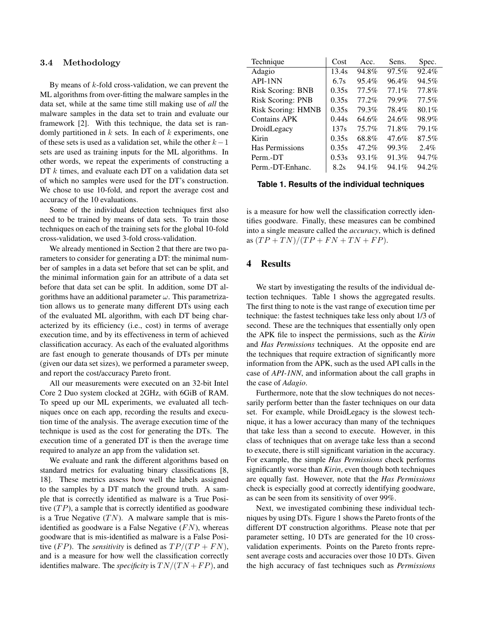### 3.4 Methodology

By means of  $k$ -fold cross-validation, we can prevent the ML algorithms from over-fitting the malware samples in the data set, while at the same time still making use of *all* the malware samples in the data set to train and evaluate our framework [2]. With this technique, the data set is randomly partitioned in  $k$  sets. In each of  $k$  experiments, one of these sets is used as a validation set, while the other  $k-1$ sets are used as training inputs for the ML algorithms. In other words, we repeat the experiments of constructing a DT  $k$  times, and evaluate each DT on a validation data set of which no samples were used for the DT's construction. We chose to use 10-fold, and report the average cost and accuracy of the 10 evaluations.

Some of the individual detection techniques first also need to be trained by means of data sets. To train those techniques on each of the training sets for the global 10-fold cross-validation, we used 3-fold cross-validation.

We already mentioned in Section 2 that there are two parameters to consider for generating a DT: the minimal number of samples in a data set before that set can be split, and the minimal information gain for an attribute of a data set before that data set can be split. In addition, some DT algorithms have an additional parameter  $\omega$ . This parametrization allows us to generate many different DTs using each of the evaluated ML algorithm, with each DT being characterized by its efficiency (i.e., cost) in terms of average execution time, and by its effectiveness in term of achieved classification accuracy. As each of the evaluated algorithms are fast enough to generate thousands of DTs per minute (given our data set sizes), we performed a parameter sweep, and report the cost/accuracy Pareto front.

All our measurements were executed on an 32-bit Intel Core 2 Duo system clocked at 2GHz, with 6GiB of RAM. To speed up our ML experiments, we evaluated all techniques once on each app, recording the results and execution time of the analysis. The average execution time of the technique is used as the cost for generating the DTs. The execution time of a generated DT is then the average time required to analyze an app from the validation set.

We evaluate and rank the different algorithms based on standard metrics for evaluating binary classifications [8, 18]. These metrics assess how well the labels assigned to the samples by a DT match the ground truth. A sample that is correctly identified as malware is a True Positive  $(TP)$ , a sample that is correctly identified as goodware is a True Negative  $(TN)$ . A malware sample that is misidentified as goodware is a False Negative  $(FN)$ , whereas goodware that is mis-identified as malware is a False Positive (FP). The *sensitivity* is defined as  $TP/(TP + FN)$ , and is a measure for how well the classification correctly identifies malware. The *specificity* is  $TN/(TN + FP)$ , and

| Technique                 | Cost  | Acc.  | Sens. | Spec. |
|---------------------------|-------|-------|-------|-------|
| Adagio                    | 13.4s | 94.8% | 97.5% | 92.4% |
| $API-1NN$                 | 6.7s  | 95.4% | 96.4% | 94.5% |
| Risk Scoring: BNB         | 0.35s | 77.5% | 77.1% | 77.8% |
| Risk Scoring: PNB         | 0.35s | 77.2% | 79.9% | 77.5% |
| <b>Risk Scoring: HMNB</b> | 0.35s | 79.3% | 78.4% | 80.1% |
| <b>Contains APK</b>       | 0.44s | 64.6% | 24.6% | 98.9% |
| DroidLegacy               | 137s  | 75.7% | 71.8% | 79.1% |
| Kirin                     | 0.35s | 68.8% | 47.6% | 87.5% |
| Has Permissions           | 0.35s | 47.2% | 99.3% | 2.4%  |
| Perm.-DT                  | 0.53s | 93.1% | 91.3% | 94.7% |
| Perm.-DT-Enhanc.          | 8.2s  | 94.1% | 94.1% | 94.2% |

### **Table 1. Results of the individual techniques**

is a measure for how well the classification correctly identifies goodware. Finally, these measures can be combined into a single measure called the *accuracy*, which is defined as  $(TP + TN)/(TP + FN + TN + FP)$ .

# 4 Results

We start by investigating the results of the individual detection techniques. Table 1 shows the aggregated results. The first thing to note is the vast range of execution time per technique: the fastest techniques take less only about 1/3 of second. These are the techniques that essentially only open the APK file to inspect the permissions, such as the *Kirin* and *Has Permissions* techniques. At the opposite end are the techniques that require extraction of significantly more information from the APK, such as the used API calls in the case of *API-1NN*, and information about the call graphs in the case of *Adagio*.

Furthermore, note that the slow techniques do not necessarily perform better than the faster techniques on our data set. For example, while DroidLegacy is the slowest technique, it has a lower accuracy than many of the techniques that take less than a second to execute. However, in this class of techniques that on average take less than a second to execute, there is still significant variation in the accuracy. For example, the simple *Has Permissions* check performs significantly worse than *Kirin*, even though both techniques are equally fast. However, note that the *Has Permissions* check is especially good at correctly identifying goodware, as can be seen from its sensitivity of over 99%.

Next, we investigated combining these individual techniques by using DTs. Figure 1 shows the Pareto fronts of the different DT construction algorithms. Please note that per parameter setting, 10 DTs are generated for the 10 crossvalidation experiments. Points on the Pareto fronts represent average costs and accuracies over those 10 DTs. Given the high accuracy of fast techniques such as *Permissions*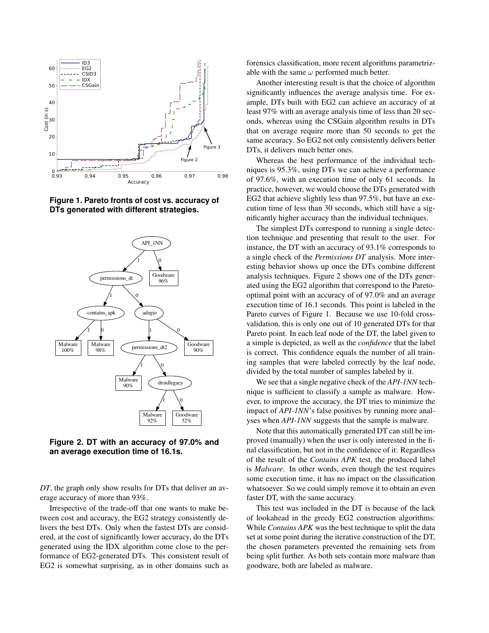

**Figure 1. Pareto fronts of cost vs. accuracy of DTs generated with different strategies.**



**Figure 2. DT with an accuracy of 97.0% and an average execution time of 16.1s.**

*DT*, the graph only show results for DTs that deliver an average accuracy of more than 93%.

Irrespective of the trade-off that one wants to make between cost and accuracy, the EG2 strategy consistently delivers the best DTs. Only when the fastest DTs are considered, at the cost of significantly lower accuracy, do the DTs generated using the IDX algorithm come close to the performance of EG2-generated DTs. This consistent result of EG2 is somewhat surprising, as in other domains such as

forensics classification, more recent algorithms parametrizable with the same  $\omega$  performed much better.

Another interesting result is that the choice of algorithm significantly influences the average analysis time. For example, DTs built with EG2 can achieve an accuracy of at least 97% with an average analysis time of less than 20 seconds, whereas using the CSGain algorithm results in DTs that on average require more than 50 seconds to get the same accuracy. So EG2 not only consistently delivers better DTs, it delivers much better ones.

Whereas the best performance of the individual techniques is 95.3%, using DTs we can achieve a performance of 97.6%, with an execution time of only 61 seconds. In practice, however, we would choose the DTs generated with EG2 that achieve slightly less than 97.5%, but have an execution time of less than 30 seconds, which still have a significantly higher accuracy than the individual techniques.

The simplest DTs correspond to running a single detection technique and presenting that result to the user. For instance, the DT with an accuracy of 93.1% corresponds to a single check of the *Permissions DT* analysis. More interesting behavior shows up once the DTs combine different analysis techniques. Figure 2 shows one of the DTs generated using the EG2 algorithm that correspond to the Paretooptimal point with an accuracy of of 97.0% and an average execution time of 16.1 seconds. This point is labeled in the Pareto curves of Figure 1. Because we use 10-fold crossvalidation, this is only one out of 10 generated DTs for that Pareto point. In each leaf node of the DT, the label given to a simple is depicted, as well as the *confidence* that the label is correct. This confidence equals the number of all training samples that were labeled correctly by the leaf node, divided by the total number of samples labeled by it.

We see that a single negative check of the *API-1NN* technique is sufficient to classify a sample as malware. However, to improve the accuracy, the DT tries to minimize the impact of *API-1NN*'s false positives by running more analyses when *API-1NN* suggests that the sample is malware.

Note that this automatically generated DT can still be improved (manually) when the user is only interested in the final classification, but not in the confidence of it: Regardless of the result of the *Contains APK* test, the produced label is *Malware*. In other words, even though the test requires some execution time, it has no impact on the classification whatsoever. So we could simply remove it to obtain an even faster DT, with the same accuracy.

This test was included in the DT is because of the lack of lookahead in the greedy EG2 construction algorithms: While *Contains APK* was the best technique to split the data set at some point during the iterative construction of the DT, the chosen parameters prevented the remaining sets from being split further. As both sets contain more malware than goodware, both are labeled as malware.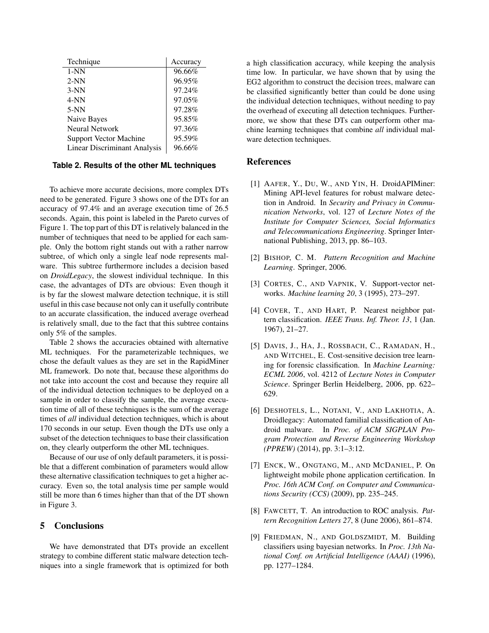| Technique                           | Accuracy |  |
|-------------------------------------|----------|--|
| $1-NN$                              | 96.66%   |  |
| $2-NN$                              | 96.95%   |  |
| $3-NN$                              | 97.24%   |  |
| 4-NN                                | 97.05%   |  |
| $5-NN$                              | 97.28%   |  |
| Naive Bayes                         | 95.85%   |  |
| Neural Network                      | 97.36%   |  |
| <b>Support Vector Machine</b>       | 95.59%   |  |
| <b>Linear Discriminant Analysis</b> | 96.66%   |  |

### **Table 2. Results of the other ML techniques**

To achieve more accurate decisions, more complex DTs need to be generated. Figure 3 shows one of the DTs for an accuracy of 97.4% and an average execution time of 26.5 seconds. Again, this point is labeled in the Pareto curves of Figure 1. The top part of this DT is relatively balanced in the number of techniques that need to be applied for each sample. Only the bottom right stands out with a rather narrow subtree, of which only a single leaf node represents malware. This subtree furthermore includes a decision based on *DroidLegacy*, the slowest individual technique. In this case, the advantages of DTs are obvious: Even though it is by far the slowest malware detection technique, it is still useful in this case because not only can it usefully contribute to an accurate classification, the induced average overhead is relatively small, due to the fact that this subtree contains only 5% of the samples.

Table 2 shows the accuracies obtained with alternative ML techniques. For the parameterizable techniques, we chose the default values as they are set in the RapidMiner ML framework. Do note that, because these algorithms do not take into account the cost and because they require all of the individual detection techniques to be deployed on a sample in order to classify the sample, the average execution time of all of these techniques is the sum of the average times of *all* individual detection techniques, which is about 170 seconds in our setup. Even though the DTs use only a subset of the detection techniques to base their classification on, they clearly outperform the other ML techniques.

Because of our use of only default parameters, it is possible that a different combination of parameters would allow these alternative classification techniques to get a higher accuracy. Even so, the total analysis time per sample would still be more than 6 times higher than that of the DT shown in Figure 3.

### 5 Conclusions

We have demonstrated that DTs provide an excellent strategy to combine different static malware detection techniques into a single framework that is optimized for both a high classification accuracy, while keeping the analysis time low. In particular, we have shown that by using the EG2 algorithm to construct the decision trees, malware can be classified significantly better than could be done using the individual detection techniques, without needing to pay the overhead of executing all detection techniques. Furthermore, we show that these DTs can outperform other machine learning techniques that combine *all* individual malware detection techniques.

# References

- [1] AAFER, Y., DU, W., AND YIN, H. DroidAPIMiner: Mining API-level features for robust malware detection in Android. In *Security and Privacy in Communication Networks*, vol. 127 of *Lecture Notes of the Institute for Computer Sciences, Social Informatics and Telecommunications Engineering*. Springer International Publishing, 2013, pp. 86–103.
- [2] BISHOP, C. M. *Pattern Recognition and Machine Learning*. Springer, 2006.
- [3] CORTES, C., AND VAPNIK, V. Support-vector networks. *Machine learning 20*, 3 (1995), 273–297.
- [4] COVER, T., AND HART, P. Nearest neighbor pattern classification. *IEEE Trans. Inf. Theor. 13*, 1 (Jan. 1967), 21–27.
- [5] DAVIS, J., HA, J., ROSSBACH, C., RAMADAN, H., AND WITCHEL, E. Cost-sensitive decision tree learning for forensic classification. In *Machine Learning: ECML 2006*, vol. 4212 of *Lecture Notes in Computer Science*. Springer Berlin Heidelberg, 2006, pp. 622– 629.
- [6] DESHOTELS, L., NOTANI, V., AND LAKHOTIA, A. Droidlegacy: Automated familial classification of Android malware. In *Proc. of ACM SIGPLAN Program Protection and Reverse Engineering Workshop (PPREW)* (2014), pp. 3:1–3:12.
- [7] ENCK, W., ONGTANG, M., AND MCDANIEL, P. On lightweight mobile phone application certification. In *Proc. 16th ACM Conf. on Computer and Communications Security (CCS)* (2009), pp. 235–245.
- [8] FAWCETT, T. An introduction to ROC analysis. *Pattern Recognition Letters 27*, 8 (June 2006), 861–874.
- [9] FRIEDMAN, N., AND GOLDSZMIDT, M. Building classifiers using bayesian networks. In *Proc. 13th National Conf. on Artificial Intelligence (AAAI)* (1996), pp. 1277–1284.